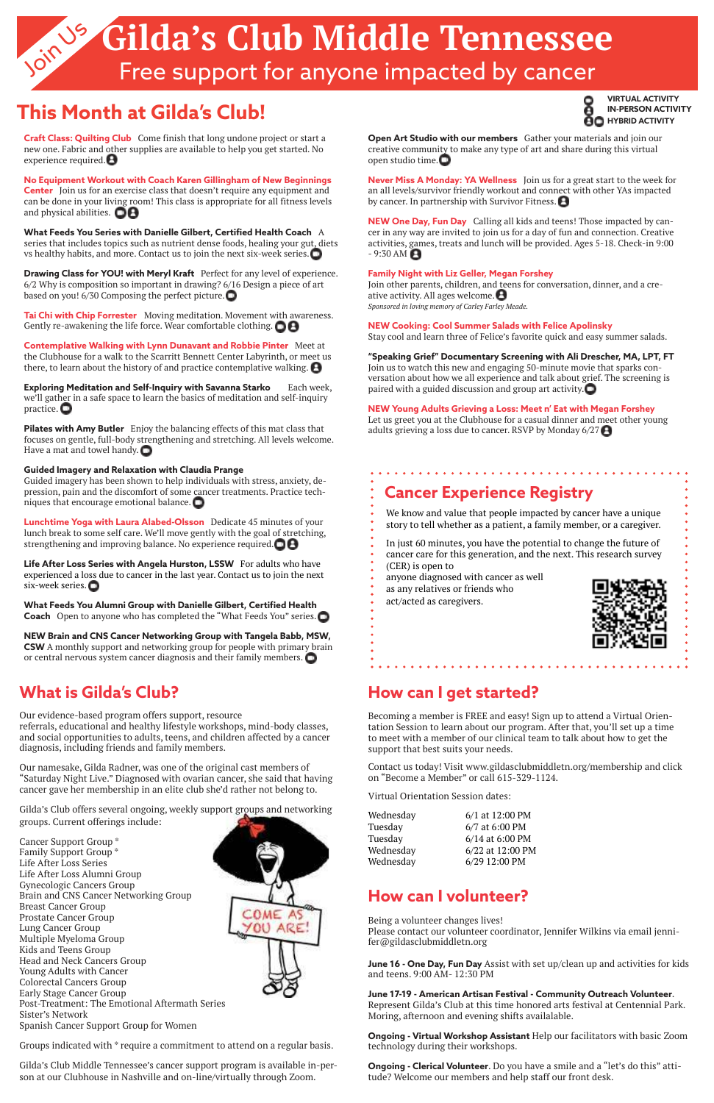# Gilda's Club Middle Tennessee Free support for anyone impacted by cancer

# **This Month at Gilda's Club! Intersection Activity**



## **What is Gilda's Club?**

Our evidence-based program offers support, resource referrals, educational and healthy lifestyle workshops, mind-body classes, and social opportunities to adults, teens, and children affected by a cancer diagnosis, including friends and family members.

Our namesake, Gilda Radner, was one of the original cast members of "Saturday Night Live." Diagnosed with ovarian cancer, she said that having cancer gave her membership in an elite club she'd rather not belong to.

Gilda's Club offers several ongoing, weekly support groups and networking

groups. Current offerings include:

Cancer Support Group \* Family Support Group \* Life After Loss Series Life After Loss Alumni Group Gynecologic Cancers Group Brain and CNS Cancer Networking Group Breast Cancer Group Prostate Cancer Group Lung Cancer Group Multiple Myeloma Group Kids and Teens Group Head and Neck Cancers Group Young Adults with Cancer Colorectal Cancers Group Early Stage Cancer Group Post-Treatment: The Emotional Aftermath Series Sister's Network Spanish Cancer Support Group for Women

Groups indicated with \* require a commitment to attend on a regular basis.

Gilda's Club Middle Tennessee's cancer support program is available in-person at our Clubhouse in Nashville and on-line/virtually through Zoom.



**Never Miss A Monday: YA Wellness** Join us for a great start to the week for an all levels/survivor friendly workout and connect with other YAs impacted by cancer. In partnership with Survivor Fitness.  $\blacksquare$ 

## **How can I get started?**

**NEW One Day, Fun Day** Calling all kids and teens! Those impacted by cancer in any way are invited to join us for a day of fun and connection. Creative activities, games, treats and lunch will be provided. Ages 5-18. Check-in 9:00  $-9:30$  AM  $\bigoplus$ 

Becoming a member is FREE and easy! Sign up to attend a Virtual Orientation Session to learn about our program. After that, you'll set up a time to meet with a member of our clinical team to talk about how to get the support that best suits your needs.

Contact us today! Visit www.gildasclubmiddletn.org/membership and click on "Become a Member" or call 615-329-1124.

Join us to watch this new and engaging 50-minute movie that sparks conversation about how we all experience and talk about grief. The screening is paired with a guided discussion and group art activity. $\Box$ 

Virtual Orientation Session dates:

Wednesday 6/1 at 12:00 PM Tuesday 6/7 at 6:00 PM Tuesday 6/14 at 6:00 PM Wednesday 6/22 at 12:00 PM

Let us greet you at the Clubhouse for a casual dinner and meet other young adults grieving a loss due to cancer. RSVP by Monday  $6/27$ 

. . . . . . . . . . . . . . . . . . . .

Wednesday 6/29 12:00 PM

### **How can I volunteer?**

Being a volunteer changes lives! Please contact our volunteer coordinator, Jennifer Wilkins via email jennifer@gildasclubmiddletn.org

**June 16 - One Day, Fun Day** Assist with set up/clean up and activities for kids and teens. 9:00 AM- 12:30 PM

**Craft Class: Quilting Club** Come finish that long undone project or start a new one. Fabric and other supplies are available to help you get started. No experience required. $\bigoplus$ 

#### **June 17-19 - American Artisan Festival - Community Outreach Volunteer**.

**No Equipment Workout with Coach Karen Gillingham of New Beginnings Center** Join us for an exercise class that doesn't require any equipment and can be done in your living room! This class is appropriate for all fitness levels and physical abilities.  $\blacksquare\boldsymbol{\Theta}$ 

> Represent Gilda's Club at this time honored arts festival at Centennial Park. Moring, afternoon and evening shifts availalable.

> **Ongoing - Virtual Workshop Assistant** Help our facilitators with basic Zoom technology during their workshops.

**Ongoing - Clerical Volunteer**. Do you have a smile and a "let's do this" attitude? Welcome our members and help staff our front desk.

**Tai Chi with Chip Forrester** Moving meditation. Movement with awareness. Gently re-awakening the life force. Wear comfortable clothing.  $\Box$ 

**Contemplative Walking with Lynn Dunavant and Robbie Pinter** Meet at the Clubhouse for a walk to the Scarritt Bennett Center Labyrinth, or meet us there, to learn about the history of and practice contemplative walking.  $\bigoplus$ 

**Exploring Meditation and Self-Inquiry with Savanna Starko** Each week, we'll gather in a safe space to learn the basics of meditation and self-inquiry practice.  $\Box$ 

**Open Art Studio with our members** Gather your materials and join our creative community to make any type of art and share during this virtual open studio time.

**Pilates with Amy Butler** Enjoy the balancing effects of this mat class that focuses on gentle, full-body strengthening and stretching. All levels welcome. Have a mat and towel handy.  $\Box$ 

**Lunchtime Yoga with Laura Alabed-Olsson** Dedicate 45 minutes of your lunch break to some self care. We'll move gently with the goal of stretching, strengthening and improving balance. No experience required.  $\bigcirc$   $\bigcirc$ 

**Life After Loss Series with Angela Hurston, LSSW** For adults who have experienced a loss due to cancer in the last year. Contact us to join the next six-week series.

#### **Family Night with Liz Geller, Megan Forshey**

**What Feeds You Alumni Group with Danielle Gilbert, Certified Health Coach** Open to anyone who has completed the "What Feeds You" series. Join other parents, children, and teens for conversation, dinner, and a creative activity. All ages welcome.  $\bigoplus$ *Sponsored in loving memory of Carley Farley Meade.* 

#### **NEW Cooking: Cool Summer Salads with Felice Apolinsky**

Stay cool and learn three of Felice's favorite quick and easy summer salads.

#### **"Speaking Grief" Documentary Screening with Ali Drescher, MA, LPT, FT**

#### **NEW Young Adults Grieving a Loss: Meet n' Eat with Megan Forshey**

# **Cancer Experience Registry**

We know and value that people impacted by cancer have a unique story to tell whether as a patient, a family member, or a caregiver.

In just 60 minutes, you have the potential to change the future of cancer care for this generation, and the next. This research survey

- (CER) is open to
- anyone diagnosed with cancer as well
- as any relatives or friends who
- act/acted as caregivers.



**What Feeds You Series with Danielle Gilbert, Certified Health Coach** A series that includes topics such as nutrient dense foods, healing your gut, diets vs healthy habits, and more. Contact us to join the next six-week series.

**Drawing Class for YOU! with Meryl Kraft** Perfect for any level of experience. 6/2 Why is composition so important in drawing? 6/16 Design a piece of art based on you! 6/30 Composing the perfect picture.

#### **Guided Imagery and Relaxation with Claudia Prange**

Guided imagery has been shown to help individuals with stress, anxiety, depression, pain and the discomfort of some cancer treatments. Practice techniques that encourage emotional balance.

**NEW Brain and CNS Cancer Networking Group with Tangela Babb, MSW, CSW** A monthly support and networking group for people with primary brain or central nervous system cancer diagnosis and their family members.